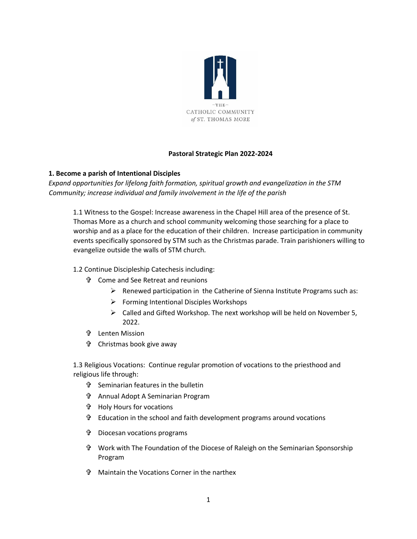

## **Pastoral Strategic Plan 2022-2024**

## **1. Become a parish of Intentional Disciples**

*Expand opportunities for lifelong faith formation, spiritual growth and evangelization in the STM Community; increase individual and family involvement in the life of the parish* 

1.1 Witness to the Gospel: Increase awareness in the Chapel Hill area of the presence of St. Thomas More as a church and school community welcoming those searching for a place to worship and as a place for the education of their children. Increase participation in community events specifically sponsored by STM such as the Christmas parade. Train parishioners willing to evangelize outside the walls of STM church*.* 

- 1.2 Continue Discipleship Catechesis including:
	- Come and See Retreat and reunions
		- ➢ Renewed participation in the Catherine of Sienna Institute Programs such as:
		- ➢ Forming Intentional Disciples Workshops
		- ➢ Called and Gifted Workshop. The next workshop will be held on November 5, 2022.
	- Lenten Mission
	- Christmas book give away

1.3 Religious Vocations: Continue regular promotion of vocations to the priesthood and religious life through:

- Seminarian features in the bulletin
- Annual Adopt A Seminarian Program
- Holy Hours for vocations
- Education in the school and faith development programs around vocations
- Diocesan vocations programs
- Work with The Foundation of the Diocese of Raleigh on the Seminarian Sponsorship Program
- Maintain the Vocations Corner in the narthex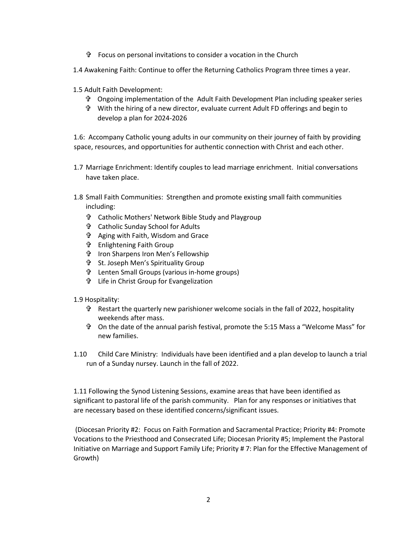- Focus on personal invitations to consider a vocation in the Church
- 1.4 Awakening Faith: Continue to offer the Returning Catholics Program three times a year.
- 1.5 Adult Faith Development:
	- Ongoing implementation of the Adult Faith Development Plan including speaker series
	- With the hiring of a new director, evaluate current Adult FD offerings and begin to develop a plan for 2024-2026

1.6: Accompany Catholic young adults in our community on their journey of faith by providing space, resources, and opportunities for authentic connection with Christ and each other.

- 1.7 Marriage Enrichment: Identify couples to lead marriage enrichment. Initial conversations have taken place.
- 1.8 Small Faith Communities: Strengthen and promote existing small faith communities including:
	- Catholic Mothers' Network Bible Study and Playgroup
	- Catholic Sunday School for Adults
	- Aging with Faith, Wisdom and Grace
	- Enlightening Faith Group
	- Iron Sharpens Iron Men's Fellowship
	- St. Joseph Men's Spirituality Group
	- Lenten Small Groups (various in-home groups)
	- Life in Christ Group for Evangelization
- 1.9 Hospitality:
	- Restart the quarterly new parishioner welcome socials in the fall of 2022, hospitality weekends after mass.
	- On the date of the annual parish festival, promote the 5:15 Mass a "Welcome Mass" for new families.
- 1.10 Child Care Ministry: Individuals have been identified and a plan develop to launch a trial run of a Sunday nursey. Launch in the fall of 2022.

1.11 Following the Synod Listening Sessions, examine areas that have been identified as significant to pastoral life of the parish community. Plan for any responses or initiatives that are necessary based on these identified concerns/significant issues.

(Diocesan Priority #2: Focus on Faith Formation and Sacramental Practice; Priority #4: Promote Vocations to the Priesthood and Consecrated Life; Diocesan Priority #5; Implement the Pastoral Initiative on Marriage and Support Family Life; Priority # 7: Plan for the Effective Management of Growth)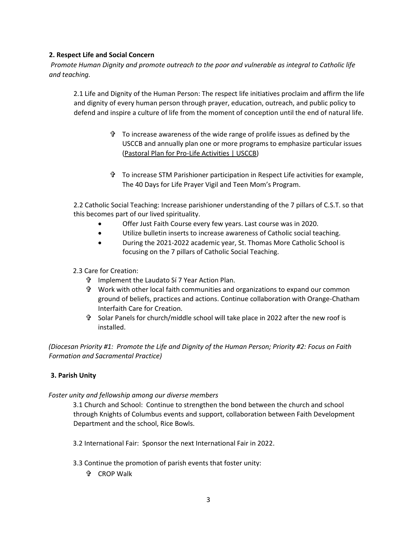## **2. Respect Life and Social Concern**

*Promote Human Dignity and promote outreach to the poor and vulnerable as integral to Catholic life and teaching.* 

2.1 Life and Dignity of the Human Person: The respect life initiatives proclaim and affirm the life and dignity of every human person through prayer, education, outreach, and public policy to defend and inspire a culture of life from the moment of conception until the end of natural life.

- $\ddot{\mathbf{r}}$  To increase awareness of the wide range of prolife issues as defined by the USCCB and annually plan one or more programs to emphasize particular issues [\(Pastoral Plan for Pro-Life Activities | USCCB\)](https://www.usccb.org/prolife/pastoral-plan-pro-life-activities)
- To increase STM Parishioner participation in Respect Life activities for example, The 40 Days for Life Prayer Vigil and Teen Mom's Program.

2.2 Catholic Social Teaching: Increase parishioner understanding of the 7 pillars of C.S.T. so that this becomes part of our lived spirituality.

- Offer Just Faith Course every few years. Last course was in 2020.
- Utilize bulletin inserts to increase awareness of Catholic social teaching.
- During the 2021-2022 academic year, St. Thomas More Catholic School is focusing on the 7 pillars of Catholic Social Teaching.
- 2.3 Care for Creation:
	- Implement the Laudato Sí 7 Year Action Plan.
	- Work with other local faith communities and organizations to expand our common ground of beliefs, practices and actions. Continue collaboration with Orange-Chatham Interfaith Care for Creation.
	- Solar Panels for church/middle school will take place in 2022 after the new roof is installed.

*(Diocesan Priority #1: Promote the Life and Dignity of the Human Person; Priority #2: Focus on Faith Formation and Sacramental Practice)* 

# **3. Parish Unity**

### *Foster unity and fellowship among our diverse members*

3.1 Church and School: Continue to strengthen the bond between the church and school through Knights of Columbus events and support, collaboration between Faith Development Department and the school, Rice Bowls.

3.2 International Fair: Sponsor the next International Fair in 2022.

- 3.3 Continue the promotion of parish events that foster unity:
	- **th** CROP Walk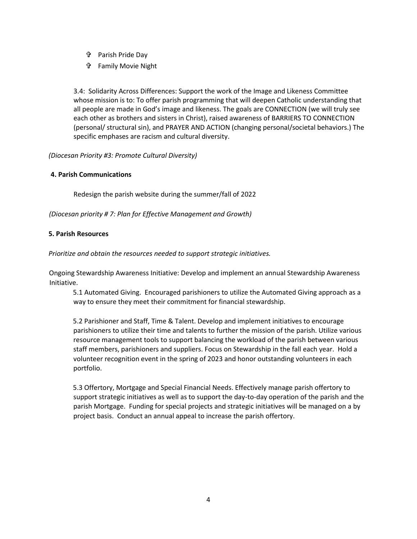- Parish Pride Day
- Family Movie Night

3.4: Solidarity Across Differences: Support the work of the Image and Likeness Committee whose mission is to: To offer parish programming that will deepen Catholic understanding that all people are made in God's image and likeness. The goals are CONNECTION (we will truly see each other as brothers and sisters in Christ), raised awareness of BARRIERS TO CONNECTION (personal/ structural sin), and PRAYER AND ACTION (changing personal/societal behaviors.) The specific emphases are racism and cultural diversity.

### *(Diocesan Priority #3: Promote Cultural Diversity)*

#### **4. Parish Communications**

Redesign the parish website during the summer/fall of 2022

*(Diocesan priority # 7: Plan for Effective Management and Growth)* 

#### **5. Parish Resources**

*Prioritize and obtain the resources needed to support strategic initiatives.* 

Ongoing Stewardship Awareness Initiative: Develop and implement an annual Stewardship Awareness Initiative.

5.1 Automated Giving. Encouraged parishioners to utilize the Automated Giving approach as a way to ensure they meet their commitment for financial stewardship.

5.2 Parishioner and Staff, Time & Talent. Develop and implement initiatives to encourage parishioners to utilize their time and talents to further the mission of the parish. Utilize various resource management tools to support balancing the workload of the parish between various staff members, parishioners and suppliers. Focus on Stewardship in the fall each year. Hold a volunteer recognition event in the spring of 2023 and honor outstanding volunteers in each portfolio.

5.3 Offertory, Mortgage and Special Financial Needs. Effectively manage parish offertory to support strategic initiatives as well as to support the day-to-day operation of the parish and the parish Mortgage. Funding for special projects and strategic initiatives will be managed on a by project basis. Conduct an annual appeal to increase the parish offertory.